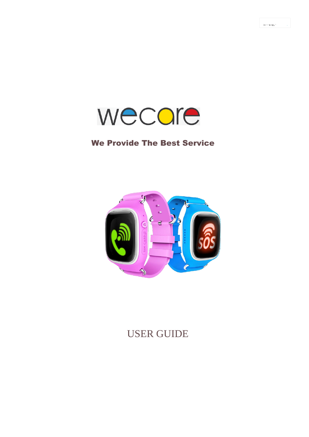

 $\frac{1}{2} \frac{1}{2} \left( \frac{1}{2} \frac{1}{2} \frac{1}{2} \frac{1}{2} \frac{1}{2} \frac{1}{2} \frac{1}{2} \frac{1}{2} \frac{1}{2} \frac{1}{2} \frac{1}{2} \frac{1}{2} \frac{1}{2} \frac{1}{2} \frac{1}{2} \frac{1}{2} \frac{1}{2} \frac{1}{2} \frac{1}{2} \frac{1}{2} \frac{1}{2} \frac{1}{2} \frac{1}{2} \frac{1}{2} \frac{1}{2} \frac{1}{2} \frac{1}{2} \frac{1}{2} \frac{1}{2}$ 

## We Provide The Best Service



USER GUIDE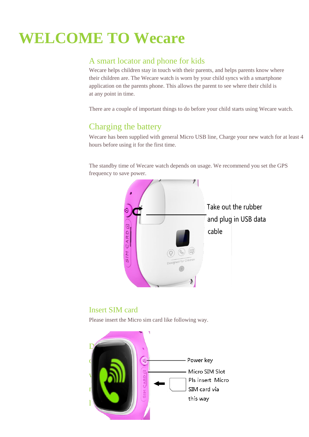# **WELCOME TO Wecare**

### A smart locator and phone for kids

Wecare helps children stay in touch with their parents, and helps parents know where their children are. The Wecare watch is worn by your child syncs with a smartphone application on the parents phone. This allows the parent to see where their child is at any point in time.

There are a couple of important things to do before your child starts using Wecare watch.

## Charging the battery

Wecare has been supplied with general Micro USB line, Charge your new watch for at least 4 hours before using it for the first time.

The standby time of Wecare watch depends on usage. We recommend you set the GPS frequency to save power.



#### Insert SIM card

Please insert the Micro sim card like following way.

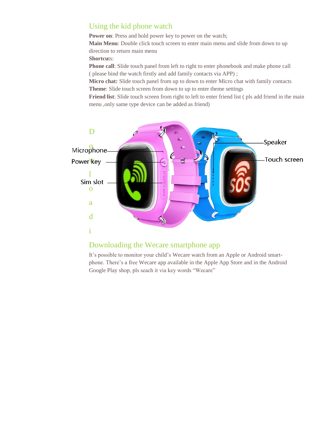#### Using the kid phone watch

**Power on:** Press and hold power key to power on the watch; **Main Menu**: Double click touch screen to enter main menu and slide from down to up direction to return main menu

**Shortcu**ts:

**Phone call**: Slide touch panel from left to right to enter phonebook and make phone call ( please bind the watch firstly and add family contacts via APP) ;

**Micro chat:** Slide touch panel from up to down to enter Micro chat with family contacts **Theme**: Slide touch screen from down to up to enter theme settings

**Friend list**: Slide touch screen from right to left to enter friend list ( pls add friend in the main menu ,only same type device can be added as friend)



#### Downloading the Wecare smartphone app

It's possible to monitor your child's Wecare watch from an Apple or Android smartphone. There's a free Wecare app available in the Apple App Store and in the Android Google Play shop, pls seach it via key words "Wecare"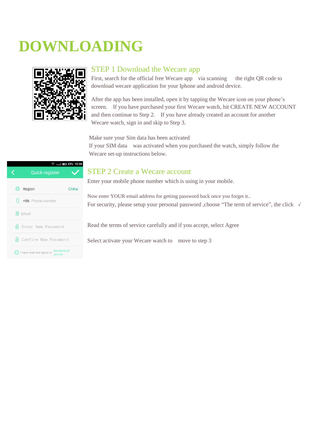# **DOWNLOADING**



#### STEP 1 Download the Wecare app

First, search for the official free Wecare app via scanning the right QR code to download wecare application for your Iphone and android device.

 After the app has been installed, open it by tapping the Wecare icon on your phone's screen. If you have purchased your first Wecare watch, hit CREATE NEW ACCOUNT and then continue to Step 2. If you have already created an account for another Wecare watch, sign in and skip to Step 3.

Make sure your Sim data has been activated

If your SIM data was activated when you purchased the watch, simply follow the Wecare set-up instructions below.

## **◆ 4Gull ■ 33% 10:38** Quick register Region China  $\Box$  +86 Phone number **圆** Email **6** Enter New Password **A** Confirm New Password O I have read and agree to the terms of

#### STEP 2 Create a Wecare account

Enter your mobile phone number which is using in your mobile.

Now enter YOUR email address for getting password back once you forget it.. For security, please setup your personal password ,choose "The term of service", the click √

Read the terms of service carefully and if you accept, select Agree

Select activate your Wecare watch to move to step 3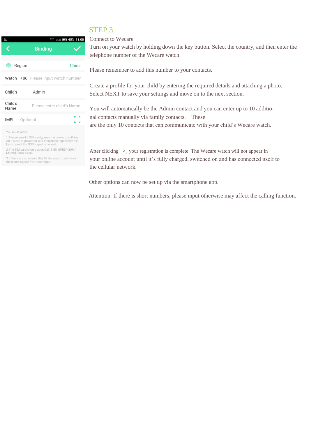#### STEP 3



You must know

1. Please insert a SIM card, press the power on/off key<br>for a while to power on, and then press repeatedly the<br>key to see if the GSM signal is normal.

2. The SIM card should open Call, SMS, GPRS(>30M/<br>Month), Caller ID etc.

3. If there are no open Caller ID, the watch can't block<br>the incoming call from a stranger.

Connect to Wecare

Turn on your watch by holding down the key button. Select the country, and then enter the telephone number of the Wecare watch.

Please remember to add this number to your contacts.

Create a profile for your child by entering the required details and attaching a photo. Select NEXT to save your settings and move on to the next section.

You will automatically be the Admin contact and you can enter up to 10 additional contacts manually via family contacts. These are the only 10 contacts that can communicate with your child's Wecare watch.

After clicking √, your registration is complete. The Wecare watch will not appear in your online account until it's fully charged, switched on and has connected itself to the cellular network.

Other options can now be set up via the smartphone app.

Attention: If there is short numbers, please input otherwise may affect the calling function.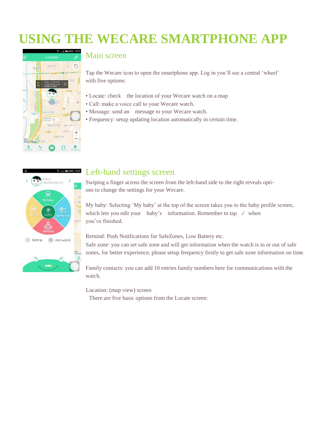# **USING THE WECARE SMARTPHONE APP**



#### Main screen

Tap the Wecare icon to open the smartphone app. Log in you'll see a central 'wheel' with five options:

- Locate: check the location of your Wecare watch on a map
- Call: make a voice call to your Wecare watch.
- Message: send an message to your Wecare watch.
- Frequency: setup updating location automatically in certain time.



#### Left-hand settings screen

Swiping a finger across the screen from the left-hand side to the right reveals options to change the settings for your Wecare.

My baby: Selecting 'My baby' at the top of the screen takes you to the baby profile screen, which lets you edit your baby's information. Remember to tap  $\sqrt{\ }$  when you've finished.

Remind: Push Notifications for SafeZones, Low Battery etc.

Safe zone: you can set safe zone and will get information when the watch is in or out of safe zones, for better experience, please setup frequency firstly to get safe zone information on time.

Family contacts: you can add 10 entries family numbers here for communications with the watch.

Location: (map view) screen

There are five basic options from the Locate screen: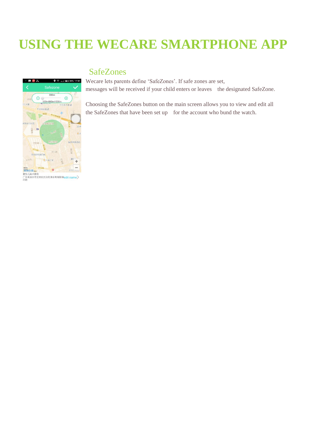# **USING THE WECARE SMARTPHONE APP**

### **SafeZones**

Wecare lets parents define 'SafeZones'. If safe zones are set, messages will be received if your child enters or leaves the designated SafeZone.





 $\bullet \cong$  4Gall 34% 17:41

日滞こ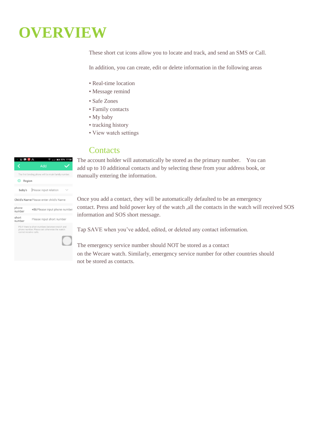# **OVERVIEW**

These short cut icons allow you to locate and track, and send an SMS or Call.

In addition, you can create, edit or delete information in the following areas

- Real-time location
- Message remind
- Safe Zones
- Family contacts
- My baby
- tracking history
- View watch settings

#### **Contacts**

The account holder will automatically be stored as the primary number. You can add up to 10 additional contacts and by selecting these from your address book, or manually entering the information.

Once you add a contact, they will be automatically defaulted to be an emergency contact. Press and hold power key of the watch ,all the contacts in the watch will received SOS information and SOS short message.

Tap SAVE when you've added, edited, or deleted any contact information.

The emergency service number should NOT be stored as a contact on the Wecare watch. Similarly, emergency service number for other countries should not be stored as contacts.